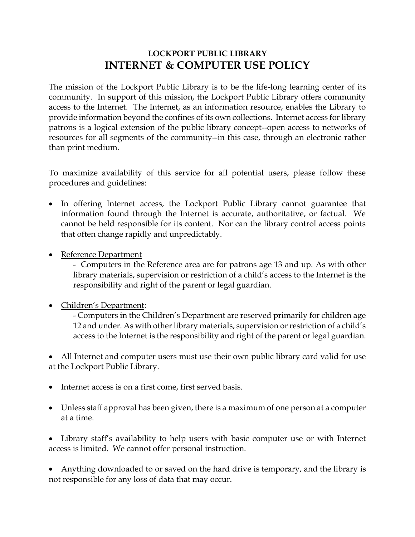## **LOCKPORT PUBLIC LIBRARY INTERNET & COMPUTER USE POLICY**

The mission of the Lockport Public Library is to be the life-long learning center of its community. In support of this mission, the Lockport Public Library offers community access to the Internet. The Internet, as an information resource, enables the Library to provide information beyond the confines of its own collections. Internet access for library patrons is a logical extension of the public library concept--open access to networks of resources for all segments of the community--in this case, through an electronic rather than print medium.

To maximize availability of this service for all potential users, please follow these procedures and guidelines:

- In offering Internet access, the Lockport Public Library cannot guarantee that information found through the Internet is accurate, authoritative, or factual. We cannot be held responsible for its content. Nor can the library control access points that often change rapidly and unpredictably.
- Reference Department
	- Computers in the Reference area are for patrons age 13 and up. As with other library materials, supervision or restriction of a child's access to the Internet is the responsibility and right of the parent or legal guardian.
- Children's Department:

- Computers in the Children's Department are reserved primarily for children age 12 and under. As with other library materials, supervision or restriction of a child's access to the Internet is the responsibility and right of the parent or legal guardian.

• All Internet and computer users must use their own public library card valid for use at the Lockport Public Library.

- Internet access is on a first come, first served basis.
- Unless staff approval has been given, there is a maximum of one person at a computer at a time.

• Library staff's availability to help users with basic computer use or with Internet access is limited. We cannot offer personal instruction.

• Anything downloaded to or saved on the hard drive is temporary, and the library is not responsible for any loss of data that may occur.